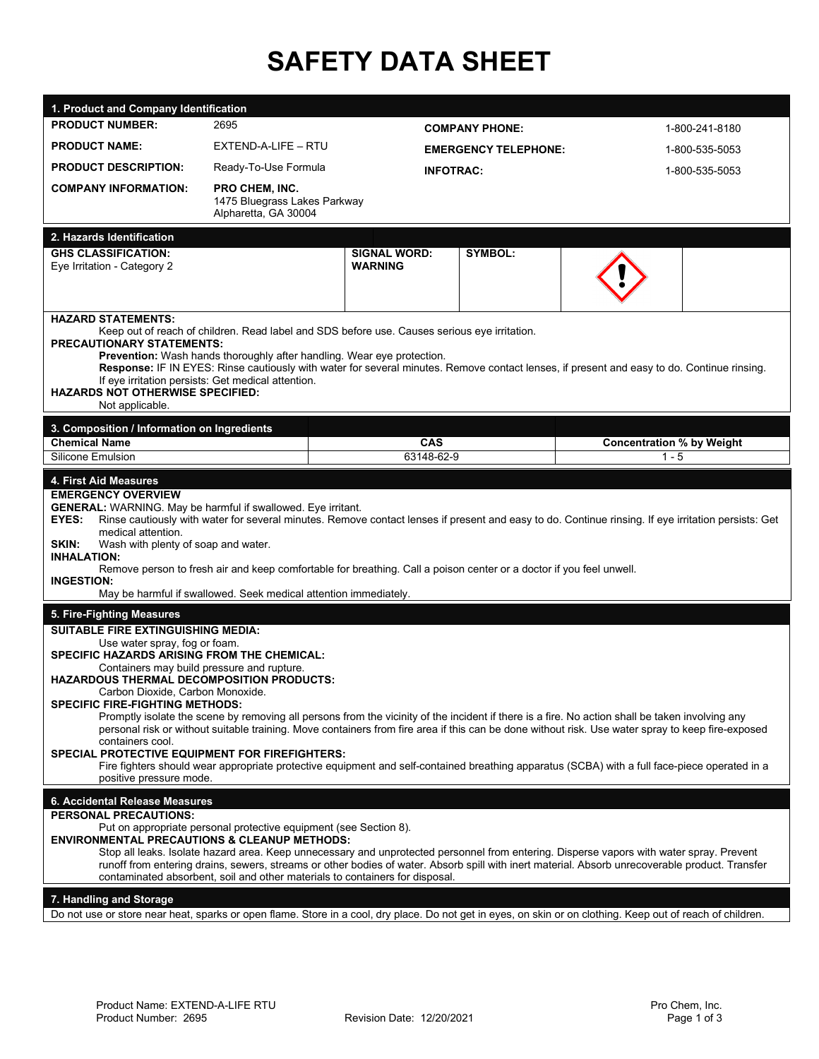# **SAFETY DATA SHEET**

| 1. Product and Company Identification                                                                                                                                                                                                                                                                                                                                                                                                                                                                                                                                        |                                                                        |                                       |                             |                |                                                                                                                                                                                                                                                                                                                                                                                                                                                       |                |  |
|------------------------------------------------------------------------------------------------------------------------------------------------------------------------------------------------------------------------------------------------------------------------------------------------------------------------------------------------------------------------------------------------------------------------------------------------------------------------------------------------------------------------------------------------------------------------------|------------------------------------------------------------------------|---------------------------------------|-----------------------------|----------------|-------------------------------------------------------------------------------------------------------------------------------------------------------------------------------------------------------------------------------------------------------------------------------------------------------------------------------------------------------------------------------------------------------------------------------------------------------|----------------|--|
| <b>PRODUCT NUMBER:</b>                                                                                                                                                                                                                                                                                                                                                                                                                                                                                                                                                       | 2695                                                                   |                                       | <b>COMPANY PHONE:</b>       |                |                                                                                                                                                                                                                                                                                                                                                                                                                                                       | 1-800-241-8180 |  |
| <b>PRODUCT NAME:</b>                                                                                                                                                                                                                                                                                                                                                                                                                                                                                                                                                         | EXTEND-A-LIFE - RTU                                                    |                                       | <b>EMERGENCY TELEPHONE:</b> |                | 1-800-535-5053                                                                                                                                                                                                                                                                                                                                                                                                                                        |                |  |
| <b>PRODUCT DESCRIPTION:</b>                                                                                                                                                                                                                                                                                                                                                                                                                                                                                                                                                  | Ready-To-Use Formula                                                   |                                       | <b>INFOTRAC:</b>            |                | 1-800-535-5053                                                                                                                                                                                                                                                                                                                                                                                                                                        |                |  |
| <b>COMPANY INFORMATION:</b>                                                                                                                                                                                                                                                                                                                                                                                                                                                                                                                                                  | PRO CHEM, INC.<br>1475 Bluegrass Lakes Parkway<br>Alpharetta, GA 30004 |                                       |                             |                |                                                                                                                                                                                                                                                                                                                                                                                                                                                       |                |  |
| 2. Hazards Identification                                                                                                                                                                                                                                                                                                                                                                                                                                                                                                                                                    |                                                                        |                                       |                             |                |                                                                                                                                                                                                                                                                                                                                                                                                                                                       |                |  |
| <b>GHS CLASSIFICATION:</b><br>Eye Irritation - Category 2                                                                                                                                                                                                                                                                                                                                                                                                                                                                                                                    |                                                                        | <b>SIGNAL WORD:</b><br><b>WARNING</b> |                             | <b>SYMBOL:</b> |                                                                                                                                                                                                                                                                                                                                                                                                                                                       |                |  |
| <b>HAZARD STATEMENTS:</b><br>Keep out of reach of children. Read label and SDS before use. Causes serious eye irritation.<br><b>PRECAUTIONARY STATEMENTS:</b><br>Prevention: Wash hands thoroughly after handling. Wear eye protection.<br>If eye irritation persists: Get medical attention.<br><b>HAZARDS NOT OTHERWISE SPECIFIED:</b><br>Not applicable.                                                                                                                                                                                                                  |                                                                        |                                       |                             |                | Response: IF IN EYES: Rinse cautiously with water for several minutes. Remove contact lenses, if present and easy to do. Continue rinsing.                                                                                                                                                                                                                                                                                                            |                |  |
| 3. Composition / Information on Ingredients                                                                                                                                                                                                                                                                                                                                                                                                                                                                                                                                  |                                                                        |                                       |                             |                |                                                                                                                                                                                                                                                                                                                                                                                                                                                       |                |  |
| <b>Chemical Name</b>                                                                                                                                                                                                                                                                                                                                                                                                                                                                                                                                                         |                                                                        |                                       | <b>CAS</b>                  |                | <b>Concentration % by Weight</b>                                                                                                                                                                                                                                                                                                                                                                                                                      |                |  |
| Silicone Emulsion                                                                                                                                                                                                                                                                                                                                                                                                                                                                                                                                                            |                                                                        |                                       | 63148-62-9                  |                |                                                                                                                                                                                                                                                                                                                                                                                                                                                       | $1 - 5$        |  |
| <b>EMERGENCY OVERVIEW</b><br><b>GENERAL:</b> WARNING. May be harmful if swallowed. Eye irritant.<br>Rinse cautiously with water for several minutes. Remove contact lenses if present and easy to do. Continue rinsing. If eye irritation persists: Get<br>EYES:<br>medical attention.<br>SKIN:<br>Wash with plenty of soap and water.<br><b>INHALATION:</b><br>Remove person to fresh air and keep comfortable for breathing. Call a poison center or a doctor if you feel unwell.<br><b>INGESTION:</b><br>May be harmful if swallowed. Seek medical attention immediately. |                                                                        |                                       |                             |                |                                                                                                                                                                                                                                                                                                                                                                                                                                                       |                |  |
| 5. Fire-Fighting Measures<br><b>SUITABLE FIRE EXTINGUISHING MEDIA:</b><br>Use water spray, fog or foam.<br><b>SPECIFIC HAZARDS ARISING FROM THE CHEMICAL:</b><br>Containers may build pressure and rupture.<br><b>HAZARDOUS THERMAL DECOMPOSITION PRODUCTS:</b><br>Carbon Dioxide, Carbon Monoxide.<br><b>SPECIFIC FIRE-FIGHTING METHODS:</b><br>containers cool.<br><b>SPECIAL PROTECTIVE EQUIPMENT FOR FIREFIGHTERS:</b><br>positive pressure mode.                                                                                                                        |                                                                        |                                       |                             |                | Promptly isolate the scene by removing all persons from the vicinity of the incident if there is a fire. No action shall be taken involving any<br>personal risk or without suitable training. Move containers from fire area if this can be done without risk. Use water spray to keep fire-exposed<br>Fire fighters should wear appropriate protective equipment and self-contained breathing apparatus (SCBA) with a full face-piece operated in a |                |  |
| 6. Accidental Release Measures                                                                                                                                                                                                                                                                                                                                                                                                                                                                                                                                               |                                                                        |                                       |                             |                |                                                                                                                                                                                                                                                                                                                                                                                                                                                       |                |  |
| <b>PERSONAL PRECAUTIONS:</b><br>Put on appropriate personal protective equipment (see Section 8).<br><b>ENVIRONMENTAL PRECAUTIONS &amp; CLEANUP METHODS:</b><br>contaminated absorbent, soil and other materials to containers for disposal.<br>7. Handling and Storage                                                                                                                                                                                                                                                                                                      |                                                                        |                                       |                             |                | Stop all leaks. Isolate hazard area. Keep unnecessary and unprotected personnel from entering. Disperse vapors with water spray. Prevent<br>runoff from entering drains, sewers, streams or other bodies of water. Absorb spill with inert material. Absorb unrecoverable product. Transfer                                                                                                                                                           |                |  |

Do not use or store near heat, sparks or open flame. Store in a cool, dry place. Do not get in eyes, on skin or on clothing. Keep out of reach of children.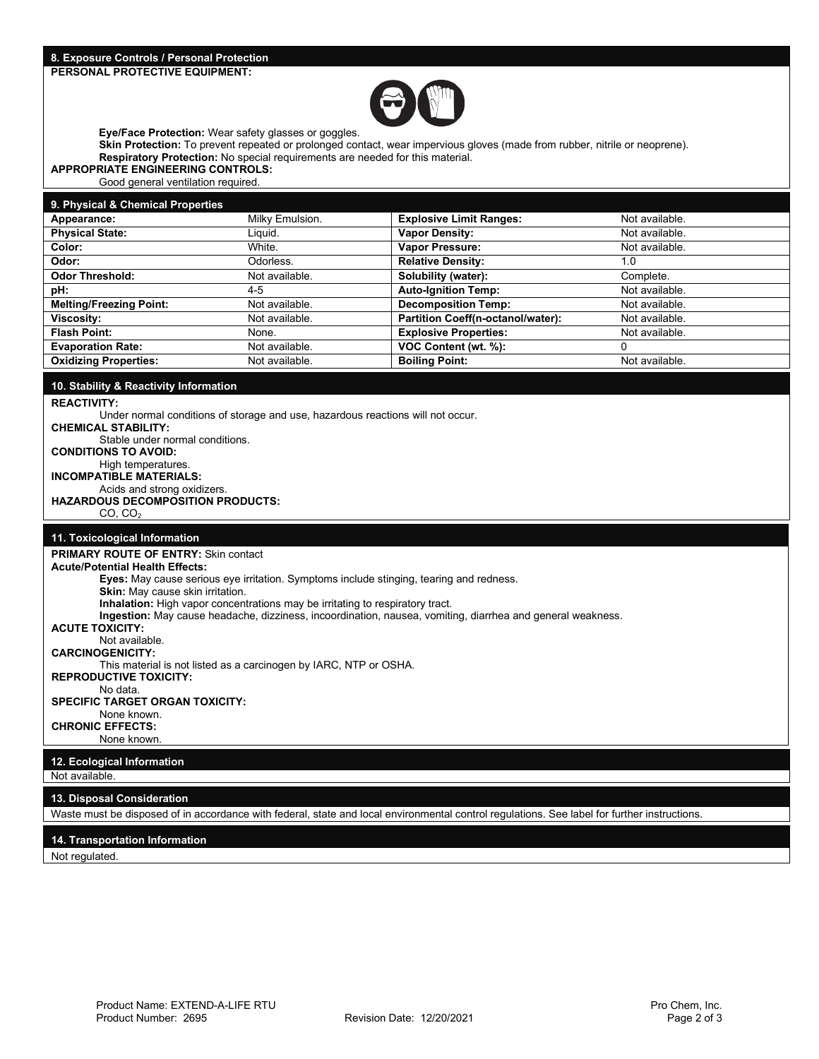

**Eye/Face Protection:** Wear safety glasses or goggles.

**Skin Protection:** To prevent repeated or prolonged contact, wear impervious gloves (made from rubber, nitrile or neoprene). **Respiratory Protection:** No special requirements are needed for this material.

#### **APPROPRIATE ENGINEERING CONTROLS:**

Good general ventilation required.

#### **9. Physical & Chemical Properties**

| <b>Physical State:</b><br><b>Vapor Density:</b><br>Liquid.<br>Not available.<br><b>Vapor Pressure:</b><br>White.<br>Color:<br>Not available.<br><b>Relative Density:</b><br>Odor:<br>Odorless.<br>1.0 |  |
|-------------------------------------------------------------------------------------------------------------------------------------------------------------------------------------------------------|--|
|                                                                                                                                                                                                       |  |
|                                                                                                                                                                                                       |  |
|                                                                                                                                                                                                       |  |
| Solubility (water):<br><b>Odor Threshold:</b><br>Not available.<br>Complete.                                                                                                                          |  |
| <b>Auto-Ignition Temp:</b><br>pH:<br>Not available.<br>4-5                                                                                                                                            |  |
| <b>Decomposition Temp:</b><br><b>Melting/Freezing Point:</b><br>Not available.<br>Not available.                                                                                                      |  |
| Partition Coeff(n-octanol/water):<br>Not available.<br><b>Viscosity:</b><br>Not available.                                                                                                            |  |
| <b>Explosive Properties:</b><br><b>Flash Point:</b><br>Not available.<br>None.                                                                                                                        |  |
| VOC Content (wt. %):<br><b>Evaporation Rate:</b><br>Not available.                                                                                                                                    |  |
| <b>Oxidizing Properties:</b><br><b>Boiling Point:</b><br>Not available.<br>Not available.                                                                                                             |  |

#### **10. Stability & Reactivity Information**

**REACTIVITY:**

Under normal conditions of storage and use, hazardous reactions will not occur. **CHEMICAL STABILITY:**  Stable under normal conditions.

# **CONDITIONS TO AVOID:**

High temperatures. **INCOMPATIBLE MATERIALS:**

Acids and strong oxidizers.

# **HAZARDOUS DECOMPOSITION PRODUCTS:**

 $CO, CO<sub>2</sub>$ 

### **11. Toxicological Information**

**PRIMARY ROUTE OF ENTRY: Skin contact Acute/Potential Health Effects: Eyes:** May cause serious eye irritation. Symptoms include stinging, tearing and redness. **Skin:** May cause skin irritation. **Inhalation:** High vapor concentrations may be irritating to respiratory tract. **Ingestion:** May cause headache, dizziness, incoordination, nausea, vomiting, diarrhea and general weakness. **ACUTE TOXICITY:** Not available. **CARCINOGENICITY:** This material is not listed as a carcinogen by IARC, NTP or OSHA. **REPRODUCTIVE TOXICITY:** No data. **SPECIFIC TARGET ORGAN TOXICITY:** None known. **CHRONIC EFFECTS:** None known. **12. Ecological Information**

Not available.

#### **13. Disposal Consideration**

Waste must be disposed of in accordance with federal, state and local environmental control regulations. See label for further instructions.

#### **14. Transportation Information**

Not regulated.